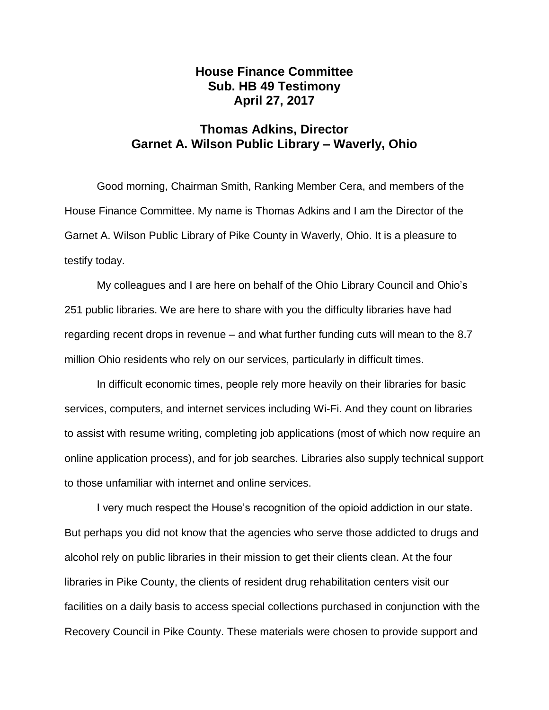## **House Finance Committee Sub. HB 49 Testimony April 27, 2017**

## **Thomas Adkins, Director Garnet A. Wilson Public Library – Waverly, Ohio**

Good morning, Chairman Smith, Ranking Member Cera, and members of the House Finance Committee. My name is Thomas Adkins and I am the Director of the Garnet A. Wilson Public Library of Pike County in Waverly, Ohio. It is a pleasure to testify today.

My colleagues and I are here on behalf of the Ohio Library Council and Ohio's 251 public libraries. We are here to share with you the difficulty libraries have had regarding recent drops in revenue – and what further funding cuts will mean to the 8.7 million Ohio residents who rely on our services, particularly in difficult times.

In difficult economic times, people rely more heavily on their libraries for basic services, computers, and internet services including Wi-Fi. And they count on libraries to assist with resume writing, completing job applications (most of which now require an online application process), and for job searches. Libraries also supply technical support to those unfamiliar with internet and online services.

I very much respect the House's recognition of the opioid addiction in our state. But perhaps you did not know that the agencies who serve those addicted to drugs and alcohol rely on public libraries in their mission to get their clients clean. At the four libraries in Pike County, the clients of resident drug rehabilitation centers visit our facilities on a daily basis to access special collections purchased in conjunction with the Recovery Council in Pike County. These materials were chosen to provide support and